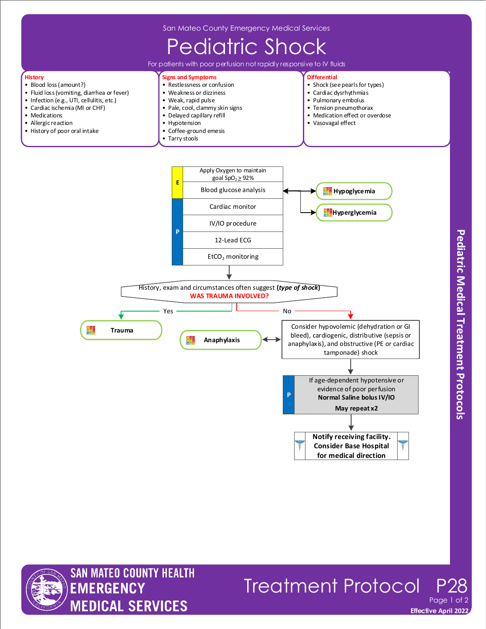

History, exam and circumstances often suggest **(***type of shock***) WAS TRAUMA INVOLVED?**

**Anaphylaxis**

No

**P**

Yes

輩

**Trauma**

₩



## Treatment Protocol Page 1

**Notify receiving facility. Consider Base Hospital for medical direction**

If age-dependent hypotensive or evidence of poor perfusion **Normal Saline bolus IV/IO May repeat x2**

Consider hypovolemic (dehydration or GI bleed), cardiogenic, distributive (sepsis or anaphylaxis), and obstructive (PE or cardiac tamponade) shock